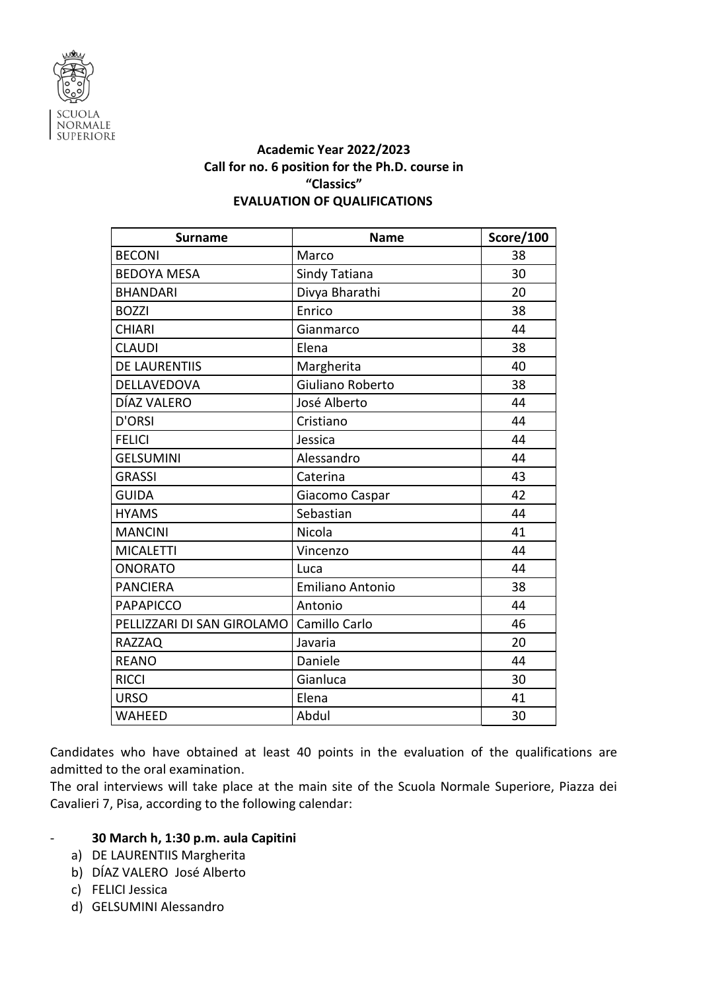

## **Academic Year 2022/2023 Call for no. 6 position for the Ph.D. course in "Classics" EVALUATION OF QUALIFICATIONS**

| <b>Surname</b>             | <b>Name</b>             | Score/100 |
|----------------------------|-------------------------|-----------|
| <b>BECONI</b>              | Marco                   | 38        |
| <b>BEDOYA MESA</b>         | Sindy Tatiana           | 30        |
| <b>BHANDARI</b>            | Divya Bharathi          | 20        |
| <b>BOZZI</b>               | Enrico                  | 38        |
| <b>CHIARI</b>              | Gianmarco               | 44        |
| <b>CLAUDI</b>              | Elena                   | 38        |
| <b>DE LAURENTIIS</b>       | Margherita              | 40        |
| DELLAVEDOVA                | Giuliano Roberto        | 38        |
| DÍAZ VALERO                | José Alberto            | 44        |
| <b>D'ORSI</b>              | Cristiano               | 44        |
| <b>FELICI</b>              | Jessica                 | 44        |
| <b>GELSUMINI</b>           | Alessandro              | 44        |
| <b>GRASSI</b>              | Caterina                | 43        |
| <b>GUIDA</b>               | Giacomo Caspar          | 42        |
| <b>HYAMS</b>               | Sebastian               | 44        |
| <b>MANCINI</b>             | Nicola                  | 41        |
| <b>MICALETTI</b>           | Vincenzo                | 44        |
| <b>ONORATO</b>             | Luca                    | 44        |
| <b>PANCIERA</b>            | <b>Emiliano Antonio</b> | 38        |
| <b>PAPAPICCO</b>           | Antonio                 | 44        |
| PELLIZZARI DI SAN GIROLAMO | Camillo Carlo           | 46        |
| <b>RAZZAQ</b>              | Javaria                 | 20        |
| <b>REANO</b>               | Daniele                 | 44        |
| <b>RICCI</b>               | Gianluca                | 30        |
| <b>URSO</b>                | Elena                   | 41        |
| <b>WAHEED</b>              | Abdul                   | 30        |

Candidates who have obtained at least 40 points in the evaluation of the qualifications are admitted to the oral examination.

The oral interviews will take place at the main site of the Scuola Normale Superiore, Piazza dei Cavalieri 7, Pisa, according to the following calendar:

## - **30 March h, 1:30 p.m. aula Capitini**

- a) DE LAURENTIIS Margherita
- b) DÍAZ VALERO José Alberto
- c) FELICI Jessica
- d) GELSUMINI Alessandro